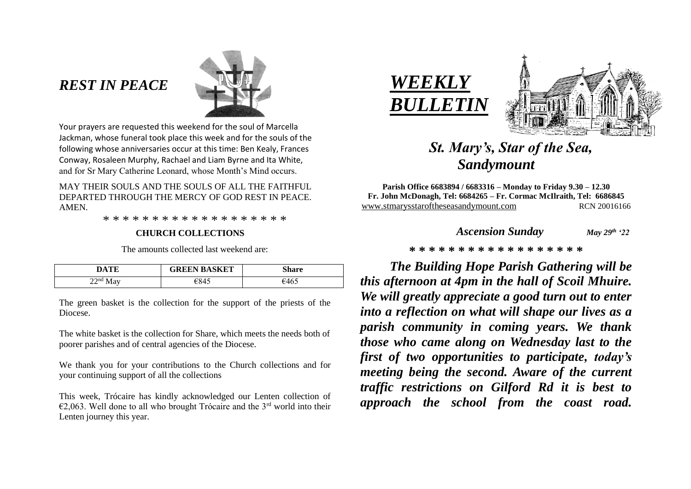## *REST IN PEACE*



Your prayers are requested this weekend for the soul of Marcella Jackman, whose funeral took place this week and for the souls of the following whose anniversaries occur at this time: Ben Kealy, Frances Conway, Rosaleen Murphy, Rachael and Liam Byrne and Ita White, and for Sr Mary Catherine Leonard, whose Month's Mind occurs.

MAY THEIR SOULS AND THE SOULS OF ALL THE FAITHFUL. DEPARTED THROUGH THE MERCY OF GOD REST IN PEACE. AMEN.

\* \* \* \* \* \* \* \* \* \* \* \* \* \* \* \* \* \* \*

#### **CHURCH COLLECTIONS**

The amounts collected last weekend are:

| DATE       | <b>GREEN BASKET</b> | Share |
|------------|---------------------|-------|
| $22nd$ May | €845                | €465  |

The green basket is the collection for the support of the priests of the Diocese.

The white basket is the collection for Share, which meets the needs both of poorer parishes and of central agencies of the Diocese.

We thank you for your contributions to the Church collections and for your continuing support of all the collections

This week, Trócaire has kindly acknowledged our Lenten collection of  $\epsilon$ 2,063. Well done to all who brought Trócaire and the 3<sup>rd</sup> world into their Lenten journey this year.





# *St. Mary's, Star of the Sea, Sandymount*

**Parish Office 6683894 / 6683316 – Monday to Friday 9.30 – 12.30 Fr. John McDonagh, Tel: 6684265 – Fr. Cormac McIlraith, Tel: 6686845** [www.stmarysstaroftheseasandymount.com](http://www.stmarysstaroftheseasandymount.com/) RCN 20016166

| May $29^{th}$ '22 |
|-------------------|
|                   |

#### **\* \* \* \* \* \* \* \* \* \* \* \* \* \* \* \* \* \***

*The Building Hope Parish Gathering will be this afternoon at 4pm in the hall of Scoil Mhuire. We will greatly appreciate a good turn out to enter into a reflection on what will shape our lives as a parish community in coming years. We thank those who came along on Wednesday last to the first of two opportunities to participate, today's meeting being the second. Aware of the current traffic restrictions on Gilford Rd it is best to approach the school from the coast road.*